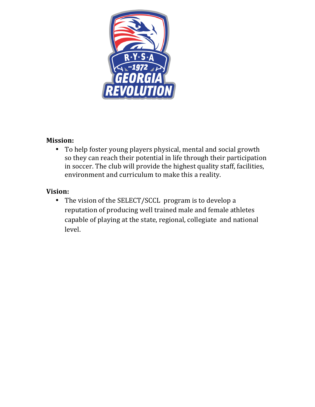

# **Mission:**

• To help foster young players physical, mental and social growth so they can reach their potential in life through their participation in soccer. The club will provide the highest quality staff, facilities, environment and curriculum to make this a reality.

# **Vision:**

• The vision of the SELECT/SCCL program is to develop a reputation of producing well trained male and female athletes capable of playing at the state, regional, collegiate and national level.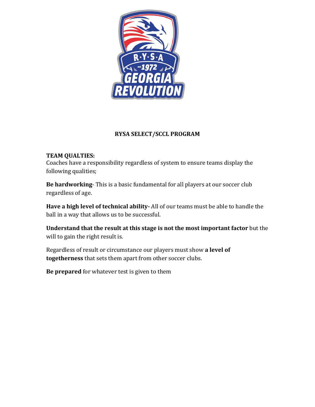

### **RYSA SELECT/SCCL PROGRAM**

### **TEAM QUALTIES:**

Coaches have a responsibility regardless of system to ensure teams display the following qualities;

**Be hardworking**- This is a basic fundamental for all players at our soccer club regardless of age.

**Have a high level of technical ability-** All of our teams must be able to handle the ball in a way that allows us to be successful.

**Understand that the result at this stage is not the most important factor** but the will to gain the right result is.

Regardless of result or circumstance our players must show a level of **togetherness** that sets them apart from other soccer clubs.

**Be prepared** for whatever test is given to them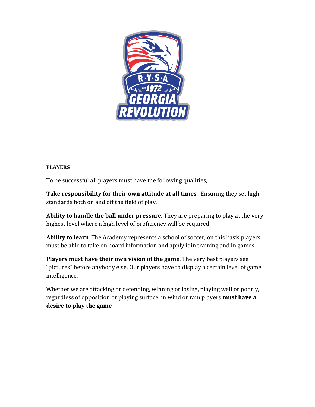

#### **PLAYERS**

To be successful all players must have the following qualities;

**Take responsibility for their own attitude at all times**. Ensuring they set high standards both on and off the field of play.

**Ability to handle the ball under pressure**. They are preparing to play at the very highest level where a high level of proficiency will be required.

Ability to learn. The Academy represents a school of soccer, on this basis players must be able to take on board information and apply it in training and in games.

**Players must have their own vision of the game**. The very best players see "pictures" before anybody else. Our players have to display a certain level of game intelligence.

Whether we are attacking or defending, winning or losing, playing well or poorly, regardless of opposition or playing surface, in wind or rain players **must have a** desire to play the game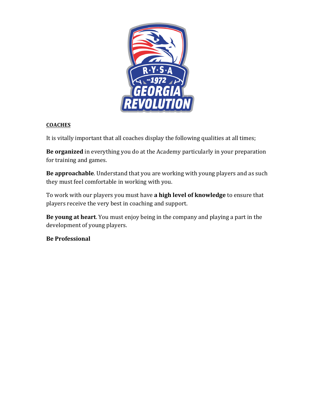

#### **COACHES**

It is vitally important that all coaches display the following qualities at all times;

**Be organized** in everything you do at the Academy particularly in your preparation for training and games.

**Be approachable**. Understand that you are working with young players and as such they must feel comfortable in working with you.

To work with our players you must have **a high level of knowledge** to ensure that players receive the very best in coaching and support.

**Be young at heart**. You must enjoy being in the company and playing a part in the development of young players.

### **Be Professional**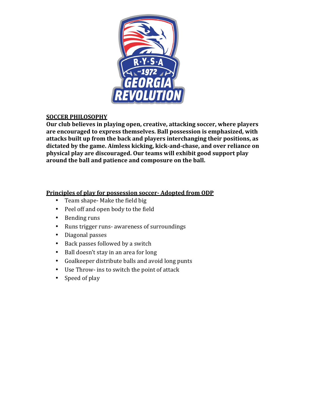

### **SOCCER PHILOSOPHY**

Our club believes in playing open, creative, attacking soccer, where players are encouraged to express themselves. Ball possession is emphasized, with attacks built up from the back and players interchanging their positions, as dictated by the game. Aimless kicking, kick-and-chase, and over reliance on **physical play are discouraged. Our teams will exhibit good support play** around the ball and patience and composure on the ball.

#### **Principles of play for possession soccer- Adopted from ODP**

- Team shape- Make the field big
- Peel off and open body to the field
- Bending runs
- Runs trigger runs- awareness of surroundings
- Diagonal passes
- Back passes followed by a switch
- Ball doesn't stay in an area for long
- Goalkeeper distribute balls and avoid long punts
- Use Throw- ins to switch the point of attack
- Speed of play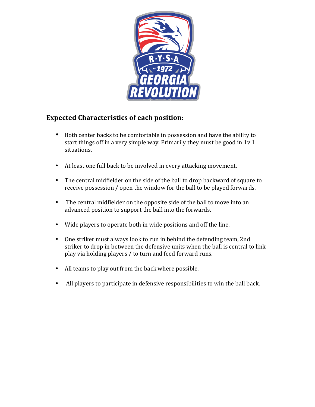

### **Expected Characteristics of each position:**

- Both center backs to be comfortable in possession and have the ability to start things off in a very simple way. Primarily they must be good in  $1v1$ situations.
- At least one full back to be involved in every attacking movement.
- The central midfielder on the side of the ball to drop backward of square to receive possession / open the window for the ball to be played forwards.
- The central midfielder on the opposite side of the ball to move into an advanced position to support the ball into the forwards.
- Wide players to operate both in wide positions and off the line.
- One striker must always look to run in behind the defending team, 2nd striker to drop in between the defensive units when the ball is central to link play via holding players / to turn and feed forward runs.
- All teams to play out from the back where possible.
- All players to participate in defensive responsibilities to win the ball back.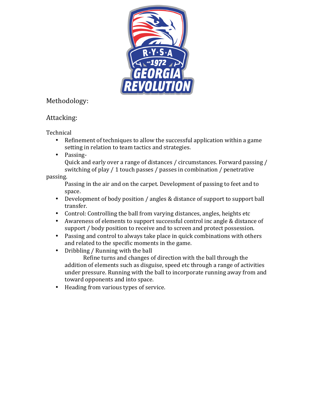

# Methodology:

# Attacking:

Technical

- Refinement of techniques to allow the successful application within a game setting in relation to team tactics and strategies.
- Passing-

Quick and early over a range of distances / circumstances. Forward passing / switching of play / 1 touch passes / passes in combination / penetrative

passing.

Passing in the air and on the carpet. Development of passing to feet and to space.

- Development of body position / angles & distance of support to support ball transfer.
- Control: Controlling the ball from varying distances, angles, heights etc
- Awareness of elements to support successful control inc angle & distance of support / body position to receive and to screen and protect possession.
- Passing and control to always take place in quick combinations with others and related to the specific moments in the game.
- Dribbling / Running with the ball

Refine turns and changes of direction with the ball through the addition of elements such as disguise, speed etc through a range of activities under pressure. Running with the ball to incorporate running away from and toward opponents and into space.

• Heading from various types of service.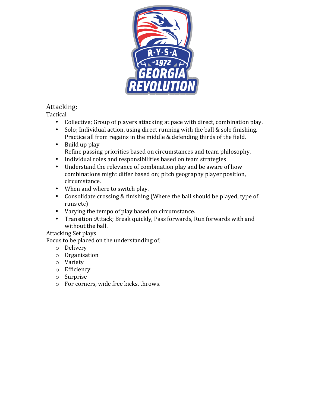

# Attacking:

Tactical

- Collective; Group of players attacking at pace with direct, combination play.
- Solo; Individual action, using direct running with the ball  $&$  solo finishing. Practice all from regains in the middle & defending thirds of the field.
- $\bullet$  Build up play Refine passing priorities based on circumstances and team philosophy.
- Individual roles and responsibilities based on team strategies
- Understand the relevance of combination play and be aware of how combinations might differ based on; pitch geography player position, circumstance.
- When and where to switch play.
- Consolidate crossing  $&$  finishing (Where the ball should be played, type of runs etc)
- Varying the tempo of play based on circumstance.
- Transition : Attack; Break quickly, Pass forwards, Run forwards with and without the ball.

### Attacking Set plays

Focus to be placed on the understanding of;

- o Delivery
- o Organisation
- o Variety
- o Efficiency
- o Surprise
- $\circ$  For corners, wide free kicks, throws.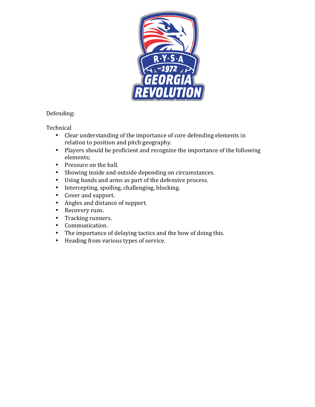

### Defending:

**Technical** 

- Clear understanding of the importance of core defending elements in relation to position and pitch geography.
- Players should be proficient and recognize the importance of the following elements;
- Pressure on the ball.
- Showing inside and outside depending on circumstances.
- Using hands and arms as part of the defensive process.
- Intercepting, spoiling, challenging, blocking.
- Cover and support.
- Angles and distance of support.
- Recovery runs.
- Tracking runners.
- Communication.
- The importance of delaying tactics and the how of doing this.
- Heading from various types of service.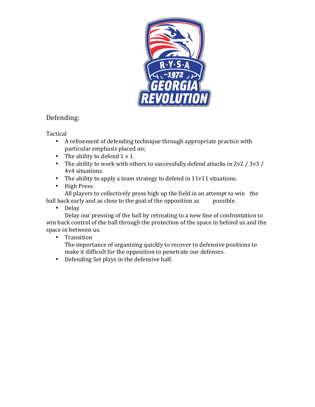

### Defending:

Tactical

- A refinement of defending technique through appropriate practice with particular emphasis placed on;
- The ability to defend  $1 \vee 1$ .
- The ability to work with others to successfully defend attacks in  $2v^2 / 3v^3 /$ 4v4 situations.
- The ability to apply a team strategy to defend in 11v11 situations.
- High Press

All players to collectively press high up the field in an attempt to win the ball back early and as close to the goal of the opposition as possible.

• Delay

Delay our pressing of the ball by retreating to a new line of confrontation to win back control of the ball through the protection of the space in behind us and the space in between us.

### • Transition

The importance of organizing quickly to recover to defensive positions to make it difficult for the opposition to penetrate our defenses.

• Defending Set plays in the defensive half.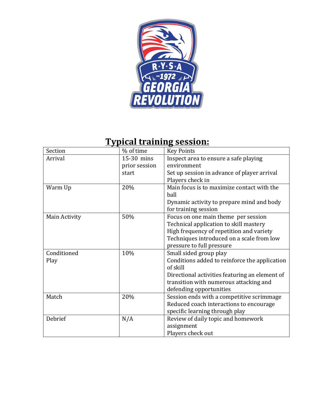

# **Typical training session:**

| Section       | % of time     | <b>Key Points</b>                                         |
|---------------|---------------|-----------------------------------------------------------|
| Arrival       | 15-30 mins    | Inspect area to ensure a safe playing                     |
|               | prior session | environment                                               |
|               | start         | Set up session in advance of player arrival               |
|               |               | Players check in                                          |
| Warm Up       | 20%           | Main focus is to maximize contact with the                |
|               |               | ball                                                      |
|               |               | Dynamic activity to prepare mind and body                 |
|               |               | for training session                                      |
| Main Activity | 50%           | Focus on one main theme per session                       |
|               |               | Technical application to skill mastery                    |
|               |               | High frequency of repetition and variety                  |
|               |               | Techniques introduced on a scale from low                 |
|               |               | pressure to full pressure                                 |
| Conditioned   | 10%           | Small sided group play                                    |
| Play          |               | Conditions added to reinforce the application<br>of skill |
|               |               | Directional activities featuring an element of            |
|               |               | transition with numerous attacking and                    |
|               |               | defending opportunities                                   |
| Match         | 20%           | Session ends with a competitive scrimmage                 |
|               |               | Reduced coach interactions to encourage                   |
|               |               | specific learning through play                            |
| Debrief       | N/A           | Review of daily topic and homework                        |
|               |               | assignment                                                |
|               |               | Players check out                                         |